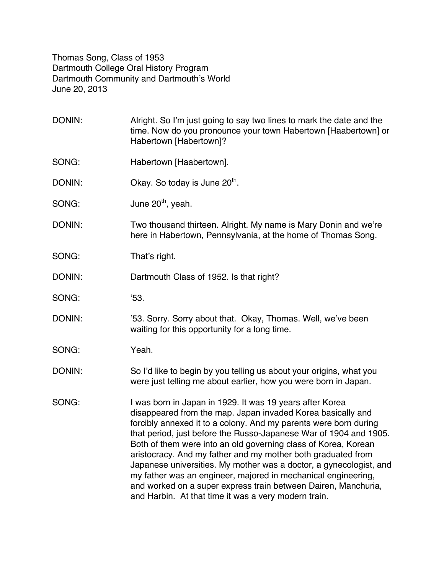Thomas Song, Class of 1953 Dartmouth College Oral History Program Dartmouth Community and Dartmouth's World June 20, 2013

DONIN: Alright. So I'm just going to say two lines to mark the date and the time. Now do you pronounce your town Habertown [Haabertown] or Habertown [Habertown]? SONG: Habertown [Haabertown]. DONIN: Okay. So today is June  $20<sup>th</sup>$ .  $SONG:$  June  $20<sup>th</sup>$ , yeah. DONIN: Two thousand thirteen. Alright. My name is Mary Donin and we're here in Habertown, Pennsylvania, at the home of Thomas Song. SONG: That's right. DONIN: Dartmouth Class of 1952. Is that right? SONG: '53. DONIN: '53. Sorry. Sorry about that. Okay, Thomas. Well, we've been waiting for this opportunity for a long time. SONG: Yeah. DONIN: So I'd like to begin by you telling us about your origins, what you were just telling me about earlier, how you were born in Japan. SONG: I was born in Japan in 1929. It was 19 years after Korea disappeared from the map. Japan invaded Korea basically and forcibly annexed it to a colony. And my parents were born during that period, just before the Russo-Japanese War of 1904 and 1905. Both of them were into an old governing class of Korea, Korean aristocracy. And my father and my mother both graduated from Japanese universities. My mother was a doctor, a gynecologist, and my father was an engineer, majored in mechanical engineering, and worked on a super express train between Dairen, Manchuria, and Harbin. At that time it was a very modern train.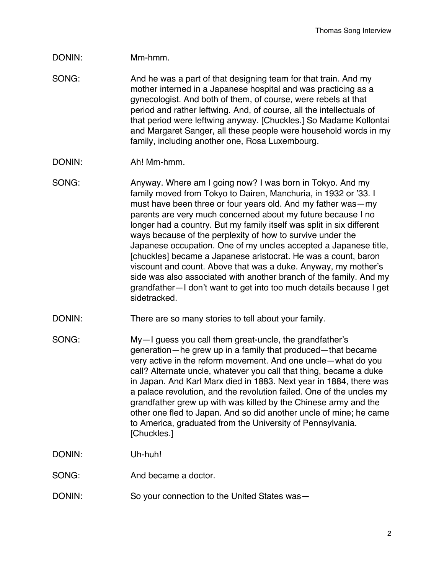# DONIN: Mm-hmm.

- SONG: And he was a part of that designing team for that train. And my mother interned in a Japanese hospital and was practicing as a gynecologist. And both of them, of course, were rebels at that period and rather leftwing. And, of course, all the intellectuals of that period were leftwing anyway. [Chuckles.] So Madame Kollontai and Margaret Sanger, all these people were household words in my family, including another one, Rosa Luxembourg.
- DONIN: Ah! Mm-hmm.
- SONG: Anyway. Where am I going now? I was born in Tokyo. And my family moved from Tokyo to Dairen, Manchuria, in 1932 or '33. I must have been three or four years old. And my father was—my parents are very much concerned about my future because I no longer had a country. But my family itself was split in six different ways because of the perplexity of how to survive under the Japanese occupation. One of my uncles accepted a Japanese title, [chuckles] became a Japanese aristocrat. He was a count, baron viscount and count. Above that was a duke. Anyway, my mother's side was also associated with another branch of the family. And my grandfather—I don't want to get into too much details because I get sidetracked.
- DONIN: There are so many stories to tell about your family.
- SONG: My—I guess you call them great-uncle, the grandfather's generation—he grew up in a family that produced—that became very active in the reform movement. And one uncle—what do you call? Alternate uncle, whatever you call that thing, became a duke in Japan. And Karl Marx died in 1883. Next year in 1884, there was a palace revolution, and the revolution failed. One of the uncles my grandfather grew up with was killed by the Chinese army and the other one fled to Japan. And so did another uncle of mine; he came to America, graduated from the University of Pennsylvania. [Chuckles.]
- DONIN: Uh-huh!
- SONG: And became a doctor.
- DONIN: So your connection to the United States was-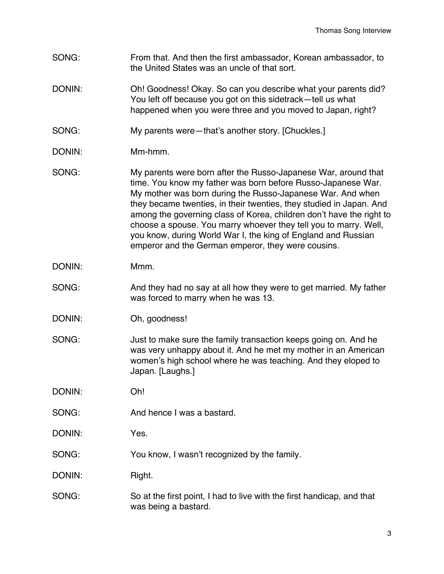- SONG: From that. And then the first ambassador, Korean ambassador, to the United States was an uncle of that sort.
- DONIN: Oh! Goodness! Okay. So can you describe what your parents did? You left off because you got on this sidetrack—tell us what happened when you were three and you moved to Japan, right?
- SONG: My parents were—that's another story. [Chuckles.]
- DONIN: Mm-hmm.
- SONG: My parents were born after the Russo-Japanese War, around that time. You know my father was born before Russo-Japanese War. My mother was born during the Russo-Japanese War. And when they became twenties, in their twenties, they studied in Japan. And among the governing class of Korea, children don't have the right to choose a spouse. You marry whoever they tell you to marry. Well, you know, during World War I, the king of England and Russian emperor and the German emperor, they were cousins.
- DONIN: Mmm.
- SONG: And they had no say at all how they were to get married. My father was forced to marry when he was 13.
- DONIN: Oh, goodness!
- SONG: Just to make sure the family transaction keeps going on. And he was very unhappy about it. And he met my mother in an American women's high school where he was teaching. And they eloped to Japan. [Laughs.]
- DONIN: Oh!
- SONG: And hence I was a bastard.
- DONIN: Yes.
- SONG: You know, I wasn't recognized by the family.
- DONIN: Right.
- SONG: So at the first point, I had to live with the first handicap, and that was being a bastard.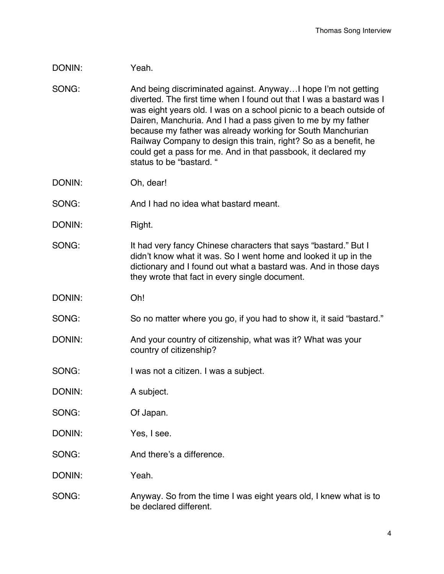# DONIN: Yeah.

- SONG: And being discriminated against. Anyway...I hope I'm not getting diverted. The first time when I found out that I was a bastard was I was eight years old. I was on a school picnic to a beach outside of Dairen, Manchuria. And I had a pass given to me by my father because my father was already working for South Manchurian Railway Company to design this train, right? So as a benefit, he could get a pass for me. And in that passbook, it declared my status to be "bastard. "
- DONIN: Oh, dear!
- SONG: And I had no idea what bastard meant.
- DONIN: Right.
- SONG: It had very fancy Chinese characters that says "bastard." But I didn't know what it was. So I went home and looked it up in the dictionary and I found out what a bastard was. And in those days they wrote that fact in every single document.
- DONIN: Oh!
- SONG: So no matter where you go, if you had to show it, it said "bastard."
- DONIN: And your country of citizenship, what was it? What was your country of citizenship?
- SONG: I was not a citizen. I was a subject.
- DONIN: A subject.
- SONG: Of Japan.
- DONIN: Yes, I see.
- SONG: And there's a difference.
- DONIN: Yeah.
- SONG: Anyway. So from the time I was eight years old, I knew what is to be declared different.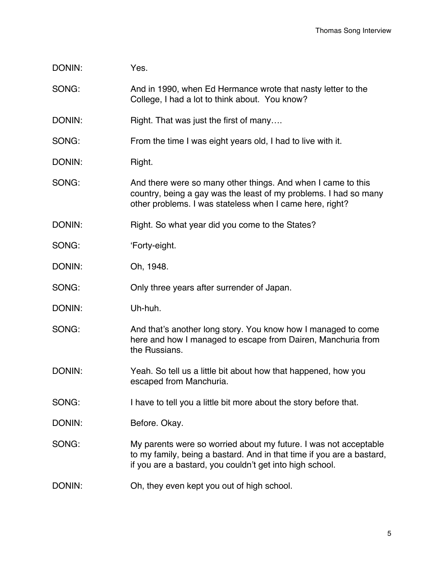| DONIN: | Yes.                                                                                                                                                                                                  |
|--------|-------------------------------------------------------------------------------------------------------------------------------------------------------------------------------------------------------|
| SONG:  | And in 1990, when Ed Hermance wrote that nasty letter to the<br>College, I had a lot to think about. You know?                                                                                        |
| DONIN: | Right. That was just the first of many                                                                                                                                                                |
| SONG:  | From the time I was eight years old, I had to live with it.                                                                                                                                           |
| DONIN: | Right.                                                                                                                                                                                                |
| SONG:  | And there were so many other things. And when I came to this<br>country, being a gay was the least of my problems. I had so many<br>other problems. I was stateless when I came here, right?          |
| DONIN: | Right. So what year did you come to the States?                                                                                                                                                       |
| SONG:  | 'Forty-eight.                                                                                                                                                                                         |
| DONIN: | Oh, 1948.                                                                                                                                                                                             |
| SONG:  | Only three years after surrender of Japan.                                                                                                                                                            |
| DONIN: | Uh-huh.                                                                                                                                                                                               |
| SONG:  | And that's another long story. You know how I managed to come<br>here and how I managed to escape from Dairen, Manchuria from<br>the Russians.                                                        |
| DONIN: | Yeah. So tell us a little bit about how that happened, how you<br>escaped from Manchuria                                                                                                              |
| SONG:  | I have to tell you a little bit more about the story before that.                                                                                                                                     |
| DONIN: | Before. Okay.                                                                                                                                                                                         |
| SONG:  | My parents were so worried about my future. I was not acceptable<br>to my family, being a bastard. And in that time if you are a bastard,<br>if you are a bastard, you couldn't get into high school. |
| DONIN: | Oh, they even kept you out of high school.                                                                                                                                                            |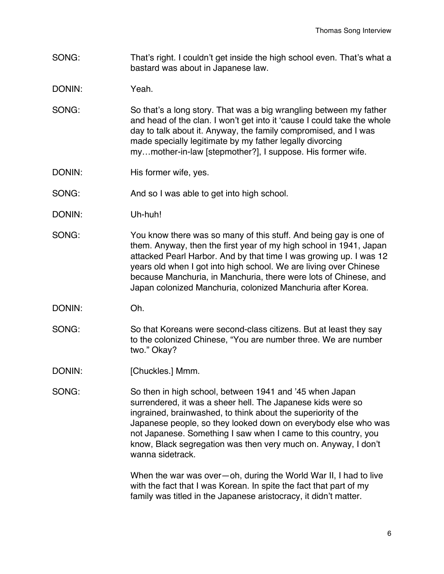SONG: That's right. I couldn't get inside the high school even. That's what a bastard was about in Japanese law.

DONIN: Yeah.

- SONG: So that's a long story. That was a big wrangling between my father and head of the clan. I won't get into it 'cause I could take the whole day to talk about it. Anyway, the family compromised, and I was made specially legitimate by my father legally divorcing my…mother-in-law [stepmother?], I suppose. His former wife.
- DONIN: His former wife, yes.

SONG: And so I was able to get into high school.

- DONIN: Uh-huh!
- SONG: You know there was so many of this stuff. And being gay is one of them. Anyway, then the first year of my high school in 1941, Japan attacked Pearl Harbor. And by that time I was growing up. I was 12 years old when I got into high school. We are living over Chinese because Manchuria, in Manchuria, there were lots of Chinese, and Japan colonized Manchuria, colonized Manchuria after Korea.
- DONIN: Oh.
- SONG: So that Koreans were second-class citizens. But at least they say to the colonized Chinese, "You are number three. We are number two." Okay?
- DONIN: [Chuckles.] Mmm.
- SONG: So then in high school, between 1941 and '45 when Japan surrendered, it was a sheer hell. The Japanese kids were so ingrained, brainwashed, to think about the superiority of the Japanese people, so they looked down on everybody else who was not Japanese. Something I saw when I came to this country, you know, Black segregation was then very much on. Anyway, I don't wanna sidetrack.

When the war was over—oh, during the World War II, I had to live with the fact that I was Korean. In spite the fact that part of my family was titled in the Japanese aristocracy, it didn't matter.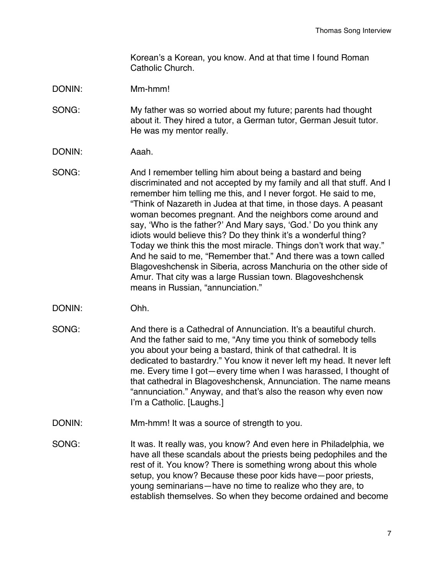Korean's a Korean, you know. And at that time I found Roman Catholic Church.

- DONIN: Mm-hmm!
- SONG: My father was so worried about my future; parents had thought about it. They hired a tutor, a German tutor, German Jesuit tutor. He was my mentor really.
- DONIN: Aaah.
- SONG: And I remember telling him about being a bastard and being discriminated and not accepted by my family and all that stuff. And I remember him telling me this, and I never forgot. He said to me, "Think of Nazareth in Judea at that time, in those days. A peasant woman becomes pregnant. And the neighbors come around and say, 'Who is the father?' And Mary says, 'God.' Do you think any idiots would believe this? Do they think it's a wonderful thing? Today we think this the most miracle. Things don't work that way." And he said to me, "Remember that." And there was a town called Blagoveshchensk in Siberia, across Manchuria on the other side of Amur. That city was a large Russian town. Blagoveshchensk means in Russian, "annunciation."
- DONIN: Ohh.
- SONG: And there is a Cathedral of Annunciation. It's a beautiful church. And the father said to me, "Any time you think of somebody tells you about your being a bastard, think of that cathedral. It is dedicated to bastardry." You know it never left my head. It never left me. Every time I got—every time when I was harassed, I thought of that cathedral in Blagoveshchensk, Annunciation. The name means "annunciation." Anyway, and that's also the reason why even now I'm a Catholic. [Laughs.]
- DONIN: Mm-hmm! It was a source of strength to you.
- SONG: It was. It really was, you know? And even here in Philadelphia, we have all these scandals about the priests being pedophiles and the rest of it. You know? There is something wrong about this whole setup, you know? Because these poor kids have—poor priests, young seminarians—have no time to realize who they are, to establish themselves. So when they become ordained and become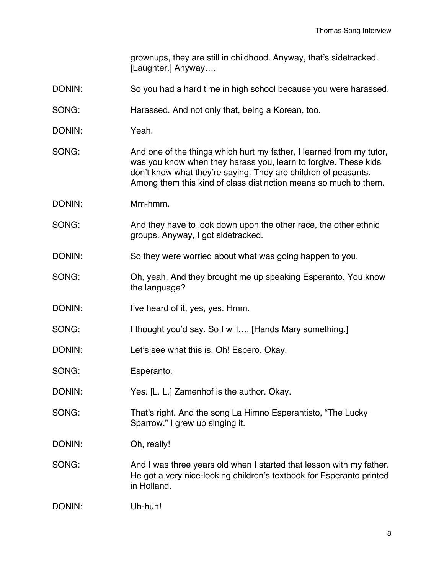grownups, they are still in childhood. Anyway, that's sidetracked. [Laughter.] Anyway….

- DONIN: So you had a hard time in high school because you were harassed.
- SONG: Harassed. And not only that, being a Korean, too.
- DONIN: Yeah.
- SONG: And one of the things which hurt my father, I learned from my tutor, was you know when they harass you, learn to forgive. These kids don't know what they're saying. They are children of peasants. Among them this kind of class distinction means so much to them.
- DONIN: Mm-hmm.
- SONG: And they have to look down upon the other race, the other ethnic groups. Anyway, I got sidetracked.
- DONIN: So they were worried about what was going happen to you.
- SONG: Oh, yeah. And they brought me up speaking Esperanto. You know the language?
- DONIN: I've heard of it, yes, yes. Hmm.
- SONG: I thought you'd say. So I will.... [Hands Mary something.]
- DONIN: Let's see what this is. Oh! Espero. Okay.
- SONG: Esperanto.
- DONIN: Yes. [L. L.] Zamenhof is the author. Okay.
- SONG: That's right. And the song La Himno Esperantisto, "The Lucky Sparrow." I grew up singing it.
- DONIN: Oh, really!
- SONG: And I was three years old when I started that lesson with my father. He got a very nice-looking children's textbook for Esperanto printed in Holland.

```
DONIN: Uh-huh!
```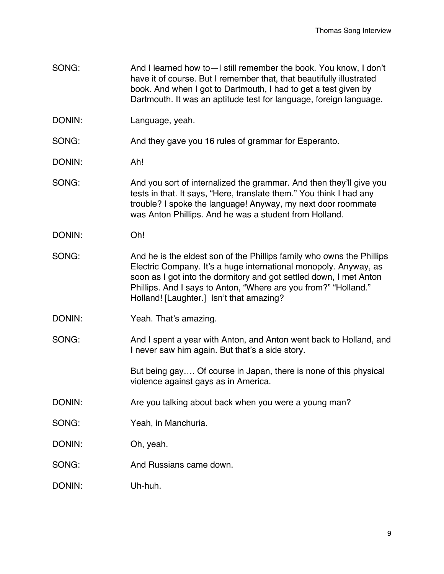- SONG: And I learned how to—I still remember the book. You know, I don't have it of course. But I remember that, that beautifully illustrated book. And when I got to Dartmouth, I had to get a test given by Dartmouth. It was an aptitude test for language, foreign language.
- DONIN: Language, yeah.

SONG: And they gave you 16 rules of grammar for Esperanto.

- DONIN: Ah!
- SONG: And you sort of internalized the grammar. And then they'll give you tests in that. It says, "Here, translate them." You think I had any trouble? I spoke the language! Anyway, my next door roommate was Anton Phillips. And he was a student from Holland.
- DONIN: Oh!
- SONG: And he is the eldest son of the Phillips family who owns the Phillips Electric Company. It's a huge international monopoly. Anyway, as soon as I got into the dormitory and got settled down, I met Anton Phillips. And I says to Anton, "Where are you from?" "Holland." Holland! [Laughter.] Isn't that amazing?
- DONIN: Yeah. That's amazing.
- SONG: And I spent a year with Anton, and Anton went back to Holland, and I never saw him again. But that's a side story.

But being gay…. Of course in Japan, there is none of this physical violence against gays as in America.

- DONIN: Are you talking about back when you were a young man?
- SONG: Yeah, in Manchuria.
- DONIN: Oh, yeah.
- SONG: And Russians came down.
- DONIN: Uh-huh.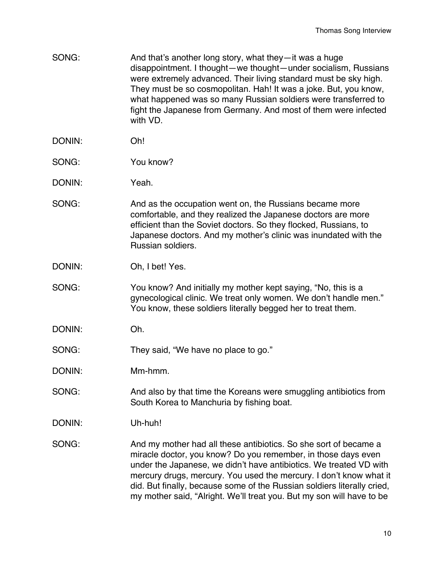| SONG:  | And that's another long story, what they—it was a huge<br>disappointment. I thought-we thought-under socialism, Russians<br>were extremely advanced. Their living standard must be sky high.<br>They must be so cosmopolitan. Hah! It was a joke. But, you know,<br>what happened was so many Russian soldiers were transferred to<br>fight the Japanese from Germany. And most of them were infected<br>with VD.                 |
|--------|-----------------------------------------------------------------------------------------------------------------------------------------------------------------------------------------------------------------------------------------------------------------------------------------------------------------------------------------------------------------------------------------------------------------------------------|
| DONIN: | Oh!                                                                                                                                                                                                                                                                                                                                                                                                                               |
| SONG:  | You know?                                                                                                                                                                                                                                                                                                                                                                                                                         |
| DONIN: | Yeah.                                                                                                                                                                                                                                                                                                                                                                                                                             |
| SONG:  | And as the occupation went on, the Russians became more<br>comfortable, and they realized the Japanese doctors are more<br>efficient than the Soviet doctors. So they flocked, Russians, to<br>Japanese doctors. And my mother's clinic was inundated with the<br>Russian soldiers.                                                                                                                                               |
| DONIN: | Oh, I bet! Yes.                                                                                                                                                                                                                                                                                                                                                                                                                   |
| SONG:  | You know? And initially my mother kept saying, "No, this is a<br>gynecological clinic. We treat only women. We don't handle men."<br>You know, these soldiers literally begged her to treat them.                                                                                                                                                                                                                                 |
| DONIN: | Oh.                                                                                                                                                                                                                                                                                                                                                                                                                               |
| SONG:  | They said, "We have no place to go."                                                                                                                                                                                                                                                                                                                                                                                              |
| DONIN: | Mm-hmm.                                                                                                                                                                                                                                                                                                                                                                                                                           |
| SONG:  | And also by that time the Koreans were smuggling antibiotics from<br>South Korea to Manchuria by fishing boat.                                                                                                                                                                                                                                                                                                                    |
| DONIN: | Uh-huh!                                                                                                                                                                                                                                                                                                                                                                                                                           |
| SONG:  | And my mother had all these antibiotics. So she sort of became a<br>miracle doctor, you know? Do you remember, in those days even<br>under the Japanese, we didn't have antibiotics. We treated VD with<br>mercury drugs, mercury. You used the mercury. I don't know what it<br>did. But finally, because some of the Russian soldiers literally cried,<br>my mother said, "Alright. We'll treat you. But my son will have to be |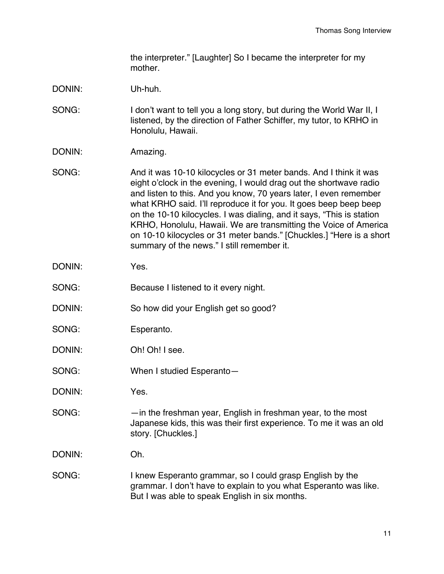the interpreter." [Laughter] So I became the interpreter for my mother.

- DONIN: Uh-huh.
- SONG: I don't want to tell you a long story, but during the World War II, I listened, by the direction of Father Schiffer, my tutor, to KRHO in Honolulu, Hawaii.
- DONIN: Amazing.
- SONG: And it was 10-10 kilocycles or 31 meter bands. And I think it was eight o'clock in the evening, I would drag out the shortwave radio and listen to this. And you know, 70 years later, I even remember what KRHO said. I'll reproduce it for you. It goes beep beep beep on the 10-10 kilocycles. I was dialing, and it says, "This is station KRHO, Honolulu, Hawaii. We are transmitting the Voice of America on 10-10 kilocycles or 31 meter bands." [Chuckles.] "Here is a short summary of the news." I still remember it.
- DONIN: Yes.
- SONG: Because I listened to it every night.
- DONIN: So how did your English get so good?
- SONG: Esperanto.
- DONIN: Oh! Oh! I see.
- SONG: When I studied Esperanto—
- DONIN: Yes.
- SONG: —in the freshman year, English in freshman year, to the most Japanese kids, this was their first experience. To me it was an old story. [Chuckles.]
- DONIN: Oh.
- SONG: I knew Esperanto grammar, so I could grasp English by the grammar. I don't have to explain to you what Esperanto was like. But I was able to speak English in six months.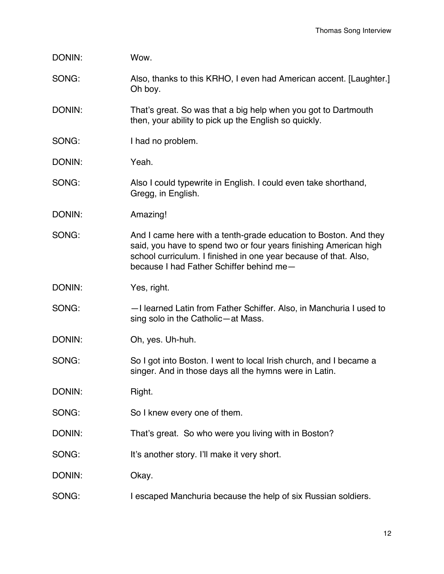| DONIN: | Wow.                                                                                                                                                                                                                                                  |
|--------|-------------------------------------------------------------------------------------------------------------------------------------------------------------------------------------------------------------------------------------------------------|
| SONG:  | Also, thanks to this KRHO, I even had American accent. [Laughter.]<br>Oh boy.                                                                                                                                                                         |
| DONIN: | That's great. So was that a big help when you got to Dartmouth<br>then, your ability to pick up the English so quickly.                                                                                                                               |
| SONG:  | I had no problem.                                                                                                                                                                                                                                     |
| DONIN: | Yeah.                                                                                                                                                                                                                                                 |
| SONG:  | Also I could typewrite in English. I could even take shorthand,<br>Gregg, in English.                                                                                                                                                                 |
| DONIN: | Amazing!                                                                                                                                                                                                                                              |
| SONG:  | And I came here with a tenth-grade education to Boston. And they<br>said, you have to spend two or four years finishing American high<br>school curriculum. I finished in one year because of that. Also,<br>because I had Father Schiffer behind me- |
| DONIN: | Yes, right.                                                                                                                                                                                                                                           |
| SONG:  | -I learned Latin from Father Schiffer. Also, in Manchuria I used to<br>sing solo in the Catholic-at Mass.                                                                                                                                             |
| DONIN: | Oh, yes. Uh-huh.                                                                                                                                                                                                                                      |
| SONG:  | So I got into Boston. I went to local Irish church, and I became a<br>singer. And in those days all the hymns were in Latin.                                                                                                                          |
| DONIN: | Right.                                                                                                                                                                                                                                                |
| SONG:  | So I knew every one of them.                                                                                                                                                                                                                          |
| DONIN: | That's great. So who were you living with in Boston?                                                                                                                                                                                                  |
| SONG:  | It's another story. I'll make it very short.                                                                                                                                                                                                          |
| DONIN: | Okay.                                                                                                                                                                                                                                                 |
| SONG:  | I escaped Manchuria because the help of six Russian soldiers.                                                                                                                                                                                         |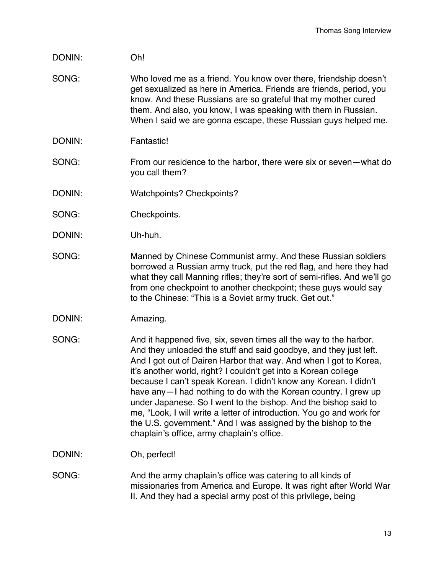- DONIN: Oh!
- SONG: Who loved me as a friend. You know over there, friendship doesn't get sexualized as here in America. Friends are friends, period, you know. And these Russians are so grateful that my mother cured them. And also, you know, I was speaking with them in Russian. When I said we are gonna escape, these Russian guys helped me.
- DONIN: Fantastic!
- SONG: From our residence to the harbor, there were six or seven—what do you call them?
- DONIN: Watchpoints? Checkpoints?
- SONG: Checkpoints.
- DONIN: Uh-huh.
- SONG: Manned by Chinese Communist army. And these Russian soldiers borrowed a Russian army truck, put the red flag, and here they had what they call Manning rifles; they're sort of semi-rifles. And we'll go from one checkpoint to another checkpoint; these guys would say to the Chinese: "This is a Soviet army truck. Get out."
- DONIN: Amazing.
- SONG: And it happened five, six, seven times all the way to the harbor. And they unloaded the stuff and said goodbye, and they just left. And I got out of Dairen Harbor that way. And when I got to Korea, it's another world, right? I couldn't get into a Korean college because I can't speak Korean. I didn't know any Korean. I didn't have any-I had nothing to do with the Korean country. I grew up under Japanese. So I went to the bishop. And the bishop said to me, "Look, I will write a letter of introduction. You go and work for the U.S. government." And I was assigned by the bishop to the chaplain's office, army chaplain's office.
- DONIN: Oh, perfect!
- SONG: And the army chaplain's office was catering to all kinds of missionaries from America and Europe. It was right after World War II. And they had a special army post of this privilege, being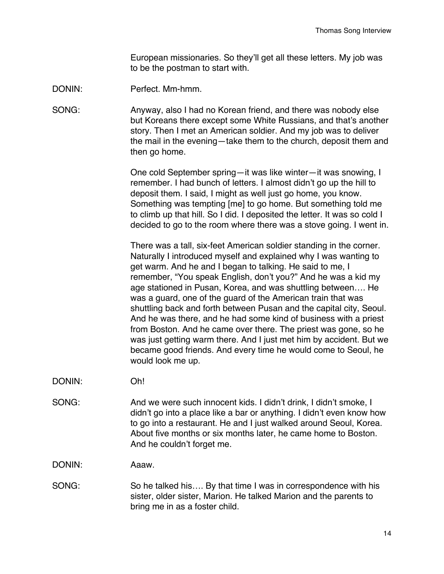European missionaries. So they'll get all these letters. My job was to be the postman to start with.

- DONIN: Perfect. Mm-hmm.
- SONG: Anyway, also I had no Korean friend, and there was nobody else but Koreans there except some White Russians, and that's another story. Then I met an American soldier. And my job was to deliver the mail in the evening—take them to the church, deposit them and then go home.

One cold September spring—it was like winter—it was snowing, I remember. I had bunch of letters. I almost didn't go up the hill to deposit them. I said, I might as well just go home, you know. Something was tempting [me] to go home. But something told me to climb up that hill. So I did. I deposited the letter. It was so cold I decided to go to the room where there was a stove going. I went in.

There was a tall, six-feet American soldier standing in the corner. Naturally I introduced myself and explained why I was wanting to get warm. And he and I began to talking. He said to me, I remember, "You speak English, don't you?" And he was a kid my age stationed in Pusan, Korea, and was shuttling between…. He was a guard, one of the guard of the American train that was shuttling back and forth between Pusan and the capital city, Seoul. And he was there, and he had some kind of business with a priest from Boston. And he came over there. The priest was gone, so he was just getting warm there. And I just met him by accident. But we became good friends. And every time he would come to Seoul, he would look me up.

- DONIN: Oh!
- SONG: And we were such innocent kids. I didn't drink, I didn't smoke, I didn't go into a place like a bar or anything. I didn't even know how to go into a restaurant. He and I just walked around Seoul, Korea. About five months or six months later, he came home to Boston. And he couldn't forget me.

DONIN: Aaaw.

SONG: So he talked his.... By that time I was in correspondence with his sister, older sister, Marion. He talked Marion and the parents to bring me in as a foster child.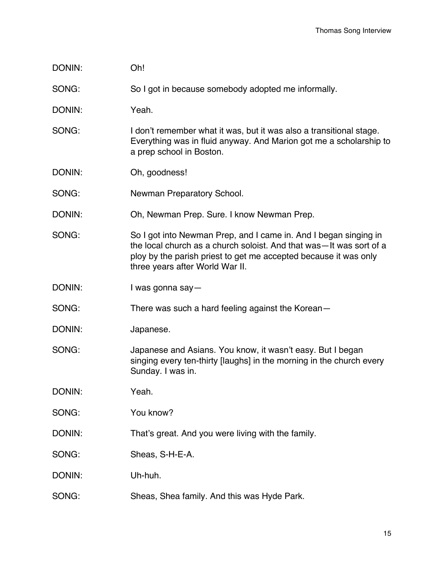DONIN: Oh!

SONG: So I got in because somebody adopted me informally.

- DONIN: Yeah.
- SONG: I don't remember what it was, but it was also a transitional stage. Everything was in fluid anyway. And Marion got me a scholarship to a prep school in Boston.
- DONIN: Oh, goodness!
- SONG: Newman Preparatory School.
- DONIN: Oh, Newman Prep. Sure. I know Newman Prep.
- SONG: So I got into Newman Prep, and I came in. And I began singing in the local church as a church soloist. And that was—It was sort of a ploy by the parish priest to get me accepted because it was only three years after World War II.
- DONIN: I was gonna say-

SONG: There was such a hard feeling against the Korean-

- DONIN: Japanese.
- SONG: Japanese and Asians. You know, it wasn't easy. But I began singing every ten-thirty [laughs] in the morning in the church every Sunday. I was in.
- DONIN: Yeah.
- SONG: You know?
- DONIN: That's great. And you were living with the family.
- SONG: Sheas, S-H-E-A.
- DONIN: Uh-huh.
- SONG: Sheas, Shea family. And this was Hyde Park.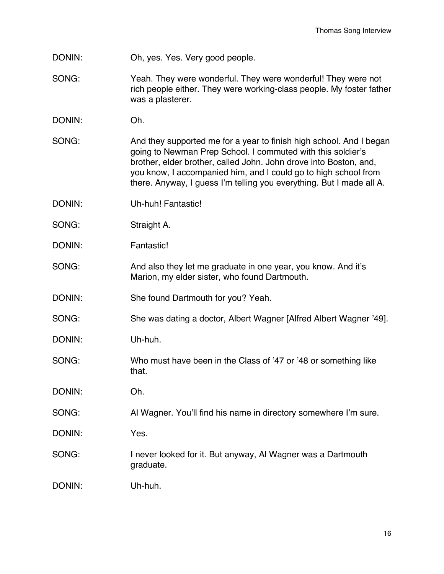- DONIN: Oh, yes. Yes. Very good people.
- SONG: Yeah. They were wonderful. They were wonderful! They were not rich people either. They were working-class people. My foster father was a plasterer.
- DONIN: Oh.
- SONG: And they supported me for a year to finish high school. And I began going to Newman Prep School. I commuted with this soldier's brother, elder brother, called John. John drove into Boston, and, you know, I accompanied him, and I could go to high school from there. Anyway, I guess I'm telling you everything. But I made all A.
- DONIN: Uh-huh! Fantastic!
- SONG: Straight A.
- DONIN: Fantastic!
- SONG: And also they let me graduate in one year, you know. And it's Marion, my elder sister, who found Dartmouth.
- DONIN: She found Dartmouth for you? Yeah.
- SONG: She was dating a doctor, Albert Wagner [Alfred Albert Wagner '49].
- DONIN: Uh-huh.
- SONG: Who must have been in the Class of '47 or '48 or something like that.
- DONIN: Oh.
- SONG: Al Wagner. You'll find his name in directory somewhere I'm sure.
- DONIN: Yes.
- SONG: I never looked for it. But anyway, Al Wagner was a Dartmouth graduate.
- DONIN: Uh-huh.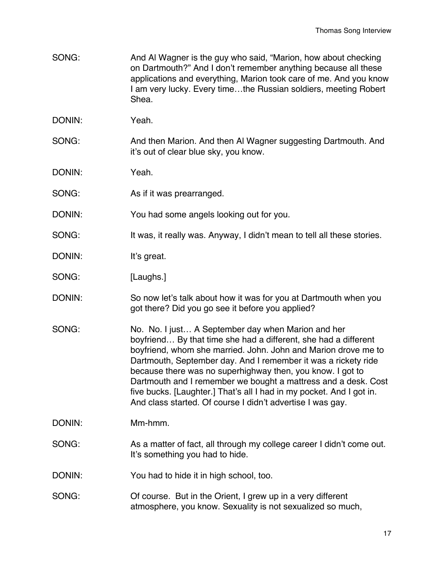- SONG: And Al Wagner is the guy who said, "Marion, how about checking on Dartmouth?" And I don't remember anything because all these applications and everything, Marion took care of me. And you know I am very lucky. Every time…the Russian soldiers, meeting Robert Shea.
- DONIN: Yeah.
- SONG: And then Marion. And then Al Wagner suggesting Dartmouth. And it's out of clear blue sky, you know.
- DONIN: Yeah.
- SONG: As if it was prearranged.
- DONIN: You had some angels looking out for you.
- SONG: It was, it really was. Anyway, I didn't mean to tell all these stories.
- DONIN: It's great.
- SONG: [Laughs.]
- DONIN: So now let's talk about how it was for you at Dartmouth when you got there? Did you go see it before you applied?
- SONG: No. No. I just... A September day when Marion and her boyfriend… By that time she had a different, she had a different boyfriend, whom she married. John. John and Marion drove me to Dartmouth, September day. And I remember it was a rickety ride because there was no superhighway then, you know. I got to Dartmouth and I remember we bought a mattress and a desk. Cost five bucks. [Laughter.] That's all I had in my pocket. And I got in. And class started. Of course I didn't advertise I was gay.
- DONIN: Mm-hmm.
- SONG: As a matter of fact, all through my college career I didn't come out. It's something you had to hide.
- DONIN: You had to hide it in high school, too.
- SONG: Of course. But in the Orient, I grew up in a very different atmosphere, you know. Sexuality is not sexualized so much,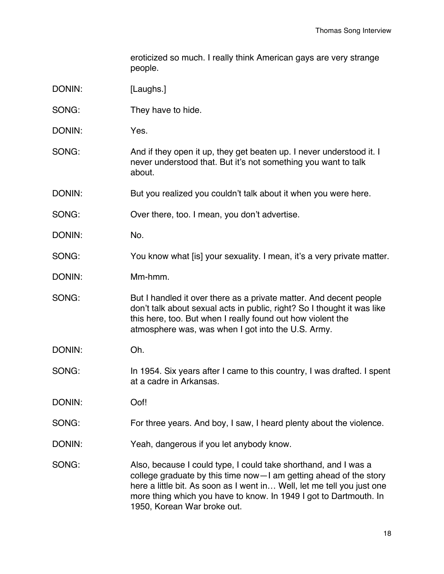eroticized so much. I really think American gays are very strange people.

- DONIN: [Laughs.]
- SONG: They have to hide.
- DONIN: Yes.
- SONG: And if they open it up, they get beaten up. I never understood it. I never understood that. But it's not something you want to talk about.
- DONIN: But you realized you couldn't talk about it when you were here.
- SONG: Over there, too. I mean, you don't advertise.
- DONIN: No.
- SONG: You know what [is] your sexuality. I mean, it's a very private matter.
- DONIN: Mm-hmm.
- SONG: But I handled it over there as a private matter. And decent people don't talk about sexual acts in public, right? So I thought it was like this here, too. But when I really found out how violent the atmosphere was, was when I got into the U.S. Army.
- DONIN: Oh.
- SONG: In 1954. Six years after I came to this country, I was drafted. I spent at a cadre in Arkansas.
- DONIN: Oof!
- SONG: For three years. And boy, I saw, I heard plenty about the violence.
- DONIN: Yeah, dangerous if you let anybody know.
- SONG: Also, because I could type, I could take shorthand, and I was a college graduate by this time now—I am getting ahead of the story here a little bit. As soon as I went in… Well, let me tell you just one more thing which you have to know. In 1949 I got to Dartmouth. In 1950, Korean War broke out.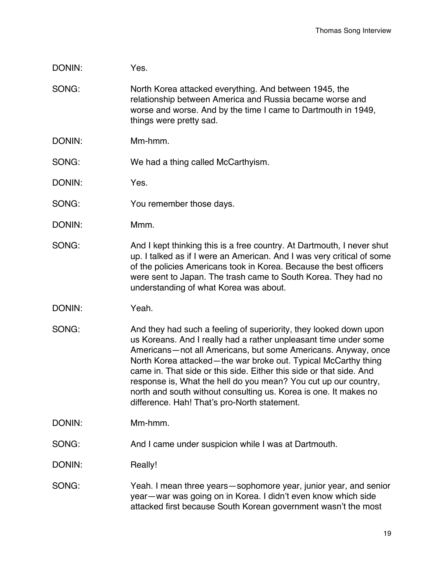### DONIN: Yes.

- SONG: North Korea attacked everything. And between 1945, the relationship between America and Russia became worse and worse and worse. And by the time I came to Dartmouth in 1949, things were pretty sad.
- DONIN: Mm-hmm.
- SONG: We had a thing called McCarthyism.
- DONIN: Yes.
- SONG: You remember those days.
- DONIN: Mmm.
- SONG: And I kept thinking this is a free country. At Dartmouth, I never shut up. I talked as if I were an American. And I was very critical of some of the policies Americans took in Korea. Because the best officers were sent to Japan. The trash came to South Korea. They had no understanding of what Korea was about.
- DONIN: Yeah.
- SONG: And they had such a feeling of superiority, they looked down upon us Koreans. And I really had a rather unpleasant time under some Americans—not all Americans, but some Americans. Anyway, once North Korea attacked—the war broke out. Typical McCarthy thing came in. That side or this side. Either this side or that side. And response is, What the hell do you mean? You cut up our country, north and south without consulting us. Korea is one. It makes no difference. Hah! That's pro-North statement.
- DONIN: Mm-hmm.
- SONG: And I came under suspicion while I was at Dartmouth.
- DONIN: Really!
- SONG: Yeah. I mean three years—sophomore year, junior year, and senior year—war was going on in Korea. I didn't even know which side attacked first because South Korean government wasn't the most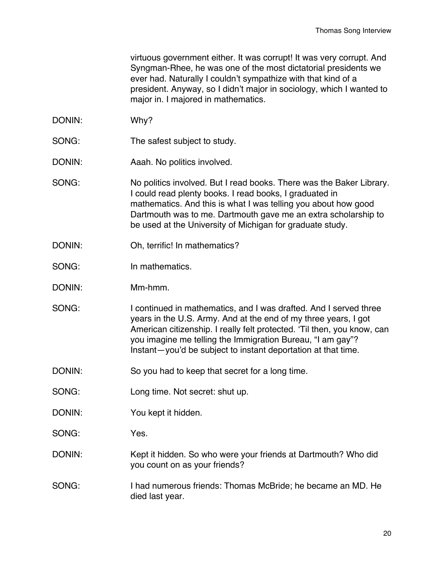virtuous government either. It was corrupt! It was very corrupt. And Syngman-Rhee, he was one of the most dictatorial presidents we ever had. Naturally I couldn't sympathize with that kind of a president. Anyway, so I didn't major in sociology, which I wanted to major in. I majored in mathematics.

- DONIN: Why?
- SONG: The safest subject to study.
- DONIN: Aaah. No politics involved.
- SONG: No politics involved. But I read books. There was the Baker Library. I could read plenty books. I read books, I graduated in mathematics. And this is what I was telling you about how good Dartmouth was to me. Dartmouth gave me an extra scholarship to be used at the University of Michigan for graduate study.
- DONIN: Oh, terrific! In mathematics?
- SONG: In mathematics.
- DONIN: Mm-hmm.
- SONG: I continued in mathematics, and I was drafted. And I served three years in the U.S. Army. And at the end of my three years, I got American citizenship. I really felt protected. 'Til then, you know, can you imagine me telling the Immigration Bureau, "I am gay"? Instant—you'd be subject to instant deportation at that time.
- DONIN: So you had to keep that secret for a long time.
- SONG: Long time. Not secret: shut up.
- DONIN: You kept it hidden.
- SONG: Yes.
- DONIN: Kept it hidden. So who were your friends at Dartmouth? Who did you count on as your friends?
- SONG: I had numerous friends: Thomas McBride; he became an MD. He died last year.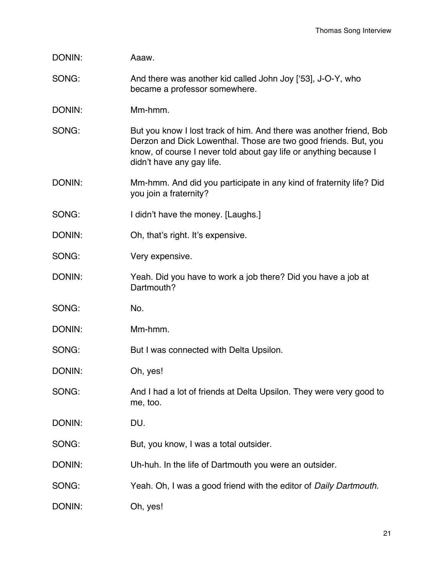| DONIN: | Aaaw.                                                                                                                                                                                                                                    |
|--------|------------------------------------------------------------------------------------------------------------------------------------------------------------------------------------------------------------------------------------------|
| SONG:  | And there was another kid called John Joy ['53], J-O-Y, who<br>became a professor somewhere.                                                                                                                                             |
| DONIN: | Mm-hmm.                                                                                                                                                                                                                                  |
| SONG:  | But you know I lost track of him. And there was another friend, Bob<br>Derzon and Dick Lowenthal. Those are two good friends. But, you<br>know, of course I never told about gay life or anything because I<br>didn't have any gay life. |
| DONIN: | Mm-hmm. And did you participate in any kind of fraternity life? Did<br>you join a fraternity?                                                                                                                                            |
| SONG:  | I didn't have the money. [Laughs.]                                                                                                                                                                                                       |
| DONIN: | Oh, that's right. It's expensive.                                                                                                                                                                                                        |
| SONG:  | Very expensive.                                                                                                                                                                                                                          |
| DONIN: | Yeah. Did you have to work a job there? Did you have a job at<br>Dartmouth?                                                                                                                                                              |
| SONG:  | No.                                                                                                                                                                                                                                      |
| DONIN: | Mm-hmm.                                                                                                                                                                                                                                  |
| SONG:  | But I was connected with Delta Upsilon.                                                                                                                                                                                                  |
| DONIN: | Oh, yes!                                                                                                                                                                                                                                 |
| SONG:  | And I had a lot of friends at Delta Upsilon. They were very good to<br>me, too.                                                                                                                                                          |
| DONIN: | DU.                                                                                                                                                                                                                                      |
| SONG:  | But, you know, I was a total outsider.                                                                                                                                                                                                   |
| DONIN: | Uh-huh. In the life of Dartmouth you were an outsider.                                                                                                                                                                                   |
| SONG:  | Yeah. Oh, I was a good friend with the editor of Daily Dartmouth.                                                                                                                                                                        |
| DONIN: | Oh, yes!                                                                                                                                                                                                                                 |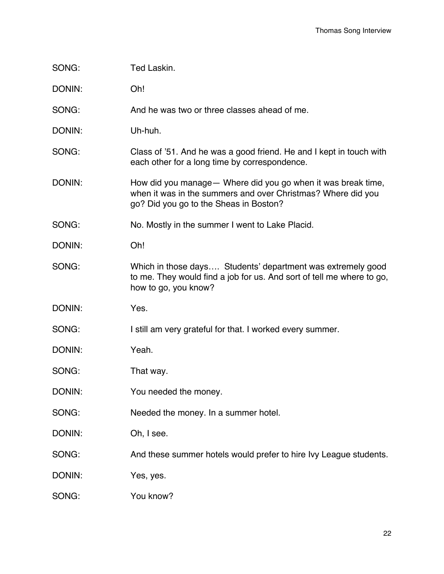| SONG:  | Ted Laskin.                                                                                                                                                             |
|--------|-------------------------------------------------------------------------------------------------------------------------------------------------------------------------|
| DONIN: | Oh!                                                                                                                                                                     |
| SONG:  | And he was two or three classes ahead of me.                                                                                                                            |
| DONIN: | Uh-huh.                                                                                                                                                                 |
| SONG:  | Class of '51. And he was a good friend. He and I kept in touch with<br>each other for a long time by correspondence.                                                    |
| DONIN: | How did you manage - Where did you go when it was break time,<br>when it was in the summers and over Christmas? Where did you<br>go? Did you go to the Sheas in Boston? |
| SONG:  | No. Mostly in the summer I went to Lake Placid.                                                                                                                         |
| DONIN: | Oh!                                                                                                                                                                     |
| SONG:  | Which in those days Students' department was extremely good<br>to me. They would find a job for us. And sort of tell me where to go,<br>how to go, you know?            |
| DONIN: | Yes.                                                                                                                                                                    |
| SONG:  | I still am very grateful for that. I worked every summer.                                                                                                               |
| DONIN: | Yeah.                                                                                                                                                                   |
| SONG:  | That way.                                                                                                                                                               |
| DONIN: | You needed the money.                                                                                                                                                   |
| SONG:  | Needed the money. In a summer hotel.                                                                                                                                    |
| DONIN: | Oh, I see.                                                                                                                                                              |
| SONG:  | And these summer hotels would prefer to hire Ivy League students.                                                                                                       |
| DONIN: | Yes, yes.                                                                                                                                                               |
| SONG:  | You know?                                                                                                                                                               |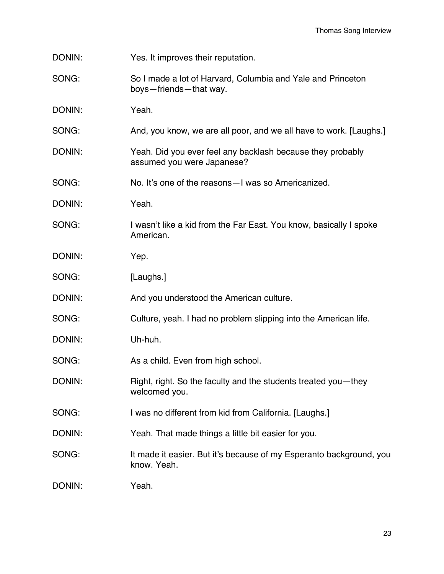| DONIN: | Yes. It improves their reputation.                                                       |
|--------|------------------------------------------------------------------------------------------|
| SONG:  | So I made a lot of Harvard, Columbia and Yale and Princeton<br>boys-friends-that way.    |
| DONIN: | Yeah.                                                                                    |
| SONG:  | And, you know, we are all poor, and we all have to work. [Laughs.]                       |
| DONIN: | Yeah. Did you ever feel any backlash because they probably<br>assumed you were Japanese? |
| SONG:  | No. It's one of the reasons - I was so Americanized.                                     |
| DONIN: | Yeah.                                                                                    |
| SONG:  | I wasn't like a kid from the Far East. You know, basically I spoke<br>American.          |
| DONIN: | Yep.                                                                                     |
| SONG:  | [Laughs.]                                                                                |
| DONIN: | And you understood the American culture.                                                 |
| SONG:  | Culture, yeah. I had no problem slipping into the American life.                         |
| DONIN: | Uh-huh.                                                                                  |
| SONG:  | As a child. Even from high school.                                                       |
| DONIN: | Right, right. So the faculty and the students treated you—they<br>welcomed you.          |
| SONG:  | I was no different from kid from California. [Laughs.]                                   |
| DONIN: | Yeah. That made things a little bit easier for you.                                      |
| SONG:  | It made it easier. But it's because of my Esperanto background, you<br>know. Yeah.       |
| DONIN: | Yeah.                                                                                    |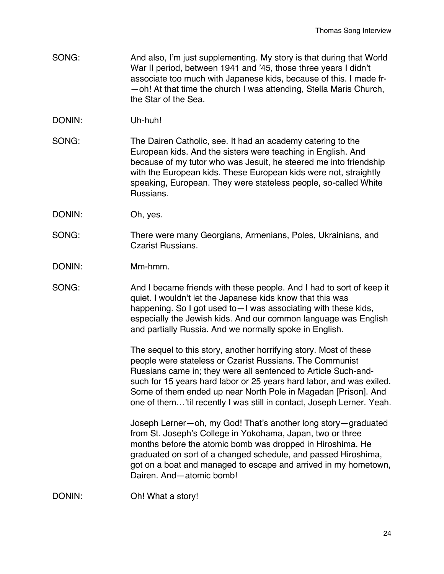- SONG: And also, I'm just supplementing. My story is that during that World War II period, between 1941 and '45, those three years I didn't associate too much with Japanese kids, because of this. I made fr- —oh! At that time the church I was attending, Stella Maris Church, the Star of the Sea.
- DONIN: Uh-huh!
- SONG: The Dairen Catholic, see. It had an academy catering to the European kids. And the sisters were teaching in English. And because of my tutor who was Jesuit, he steered me into friendship with the European kids. These European kids were not, straightly speaking, European. They were stateless people, so-called White Russians.
- DONIN: Oh, yes.
- SONG: There were many Georgians, Armenians, Poles, Ukrainians, and Czarist Russians.
- DONIN: Mm-hmm.
- SONG: And I became friends with these people. And I had to sort of keep it quiet. I wouldn't let the Japanese kids know that this was happening. So I got used to - I was associating with these kids, especially the Jewish kids. And our common language was English and partially Russia. And we normally spoke in English.

The sequel to this story, another horrifying story. Most of these people were stateless or Czarist Russians. The Communist Russians came in; they were all sentenced to Article Such-andsuch for 15 years hard labor or 25 years hard labor, and was exiled. Some of them ended up near North Pole in Magadan [Prison]. And one of them…'til recently I was still in contact, Joseph Lerner. Yeah.

Joseph Lerner—oh, my God! That's another long story—graduated from St. Joseph's College in Yokohama, Japan, two or three months before the atomic bomb was dropped in Hiroshima. He graduated on sort of a changed schedule, and passed Hiroshima, got on a boat and managed to escape and arrived in my hometown, Dairen. And—atomic bomb!

DONIN: Oh! What a story!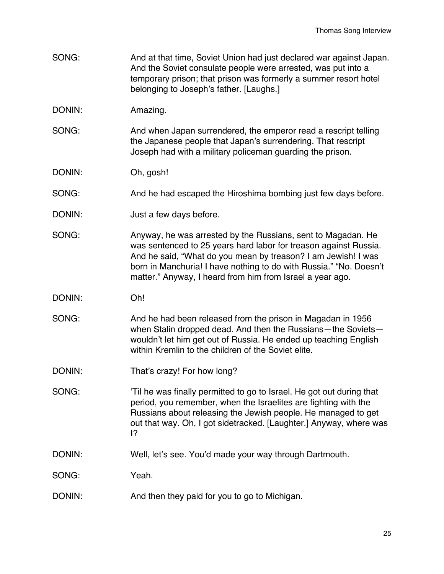- SONG: And at that time, Soviet Union had just declared war against Japan. And the Soviet consulate people were arrested, was put into a temporary prison; that prison was formerly a summer resort hotel belonging to Joseph's father. [Laughs.]
- DONIN: Amazing.
- SONG: And when Japan surrendered, the emperor read a rescript telling the Japanese people that Japan's surrendering. That rescript Joseph had with a military policeman guarding the prison.
- DONIN: Oh, gosh!
- SONG: And he had escaped the Hiroshima bombing just few days before.
- DONIN: Just a few days before.
- SONG: Anyway, he was arrested by the Russians, sent to Magadan. He was sentenced to 25 years hard labor for treason against Russia. And he said, "What do you mean by treason? I am Jewish! I was born in Manchuria! I have nothing to do with Russia." "No. Doesn't matter." Anyway, I heard from him from Israel a year ago.
- DONIN: Oh!
- SONG: And he had been released from the prison in Magadan in 1956 when Stalin dropped dead. And then the Russians—the Soviets wouldn't let him get out of Russia. He ended up teaching English within Kremlin to the children of the Soviet elite.
- DONIN: That's crazy! For how long?
- SONG: 'Til he was finally permitted to go to Israel. He got out during that period, you remember, when the Israelites are fighting with the Russians about releasing the Jewish people. He managed to get out that way. Oh, I got sidetracked. [Laughter.] Anyway, where was I?
- DONIN: Well, let's see. You'd made your way through Dartmouth.
- SONG: Yeah.
- DONIN: And then they paid for you to go to Michigan.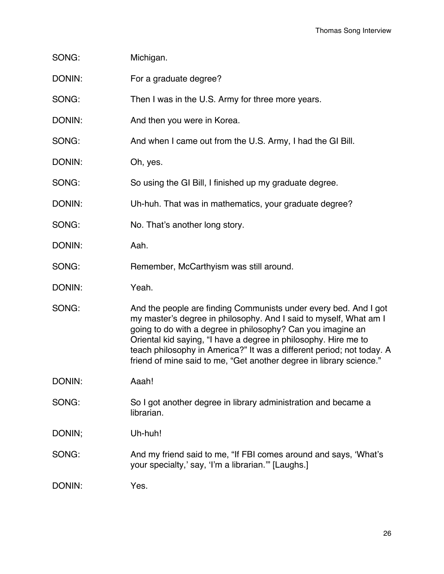| SONG:  | Michigan.                                                                                                                                                                                                                                                                                                                                                                                                               |
|--------|-------------------------------------------------------------------------------------------------------------------------------------------------------------------------------------------------------------------------------------------------------------------------------------------------------------------------------------------------------------------------------------------------------------------------|
| DONIN: | For a graduate degree?                                                                                                                                                                                                                                                                                                                                                                                                  |
| SONG:  | Then I was in the U.S. Army for three more years.                                                                                                                                                                                                                                                                                                                                                                       |
| DONIN: | And then you were in Korea.                                                                                                                                                                                                                                                                                                                                                                                             |
| SONG:  | And when I came out from the U.S. Army, I had the GI Bill.                                                                                                                                                                                                                                                                                                                                                              |
| DONIN: | Oh, yes.                                                                                                                                                                                                                                                                                                                                                                                                                |
| SONG:  | So using the GI Bill, I finished up my graduate degree.                                                                                                                                                                                                                                                                                                                                                                 |
| DONIN: | Uh-huh. That was in mathematics, your graduate degree?                                                                                                                                                                                                                                                                                                                                                                  |
| SONG:  | No. That's another long story.                                                                                                                                                                                                                                                                                                                                                                                          |
| DONIN: | Aah.                                                                                                                                                                                                                                                                                                                                                                                                                    |
| SONG:  | Remember, McCarthyism was still around.                                                                                                                                                                                                                                                                                                                                                                                 |
| DONIN: | Yeah.                                                                                                                                                                                                                                                                                                                                                                                                                   |
| SONG:  | And the people are finding Communists under every bed. And I got<br>my master's degree in philosophy. And I said to myself, What am I<br>going to do with a degree in philosophy? Can you imagine an<br>Oriental kid saying, "I have a degree in philosophy. Hire me to<br>teach philosophy in America?" It was a different period; not today. A<br>friend of mine said to me, "Get another degree in library science." |
| DONIN: | Aaah!                                                                                                                                                                                                                                                                                                                                                                                                                   |
| SONG:  | So I got another degree in library administration and became a<br>librarian.                                                                                                                                                                                                                                                                                                                                            |
| DONIN; | Uh-huh!                                                                                                                                                                                                                                                                                                                                                                                                                 |
| SONG:  | And my friend said to me, "If FBI comes around and says, 'What's<br>your specialty,' say, 'I'm a librarian."" [Laughs.]                                                                                                                                                                                                                                                                                                 |
| DONIN: | Yes.                                                                                                                                                                                                                                                                                                                                                                                                                    |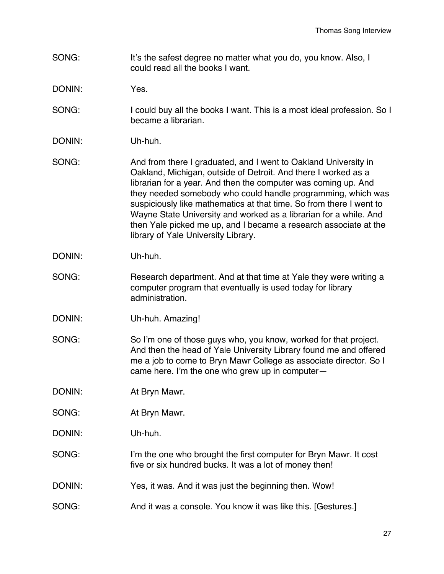- SONG: It's the safest degree no matter what you do, you know. Also, I could read all the books I want.
- DONIN: Yes.
- SONG: I could buy all the books I want. This is a most ideal profession. So I became a librarian.
- DONIN: Uh-huh.
- SONG: And from there I graduated, and I went to Oakland University in Oakland, Michigan, outside of Detroit. And there I worked as a librarian for a year. And then the computer was coming up. And they needed somebody who could handle programming, which was suspiciously like mathematics at that time. So from there I went to Wayne State University and worked as a librarian for a while. And then Yale picked me up, and I became a research associate at the library of Yale University Library.
- DONIN: Uh-huh.
- SONG: Research department. And at that time at Yale they were writing a computer program that eventually is used today for library administration.
- DONIN: Uh-huh. Amazing!
- SONG: So I'm one of those guys who, you know, worked for that project. And then the head of Yale University Library found me and offered me a job to come to Bryn Mawr College as associate director. So I came here. I'm the one who grew up in computer—

DONIN: At Bryn Mawr.

- SONG: At Bryn Mawr.
- DONIN: Uh-huh.
- SONG: I'm the one who brought the first computer for Bryn Mawr. It cost five or six hundred bucks. It was a lot of money then!
- DONIN: Yes, it was. And it was just the beginning then. Wow!
- SONG: And it was a console. You know it was like this. [Gestures.]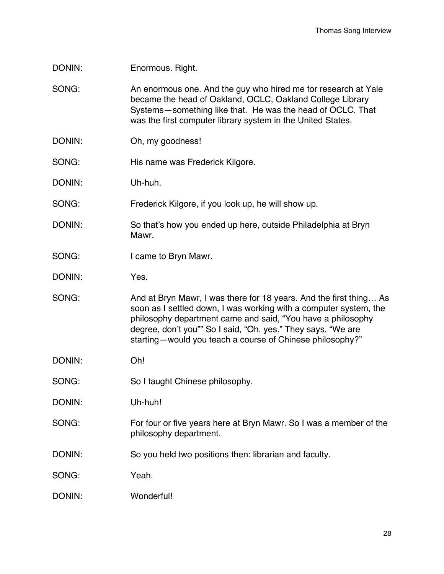DONIN: Enormous. Right.

- SONG: An enormous one. And the guy who hired me for research at Yale became the head of Oakland, OCLC, Oakland College Library Systems—something like that. He was the head of OCLC. That was the first computer library system in the United States.
- DONIN: Oh, my goodness!
- SONG: His name was Frederick Kilgore.
- DONIN: Uh-huh.

SONG: Frederick Kilgore, if you look up, he will show up.

- DONIN: So that's how you ended up here, outside Philadelphia at Bryn Mawr.
- SONG: I came to Bryn Mawr.
- DONIN: Yes.
- SONG: And at Bryn Mawr, I was there for 18 years. And the first thing... As soon as I settled down, I was working with a computer system, the philosophy department came and said, "You have a philosophy degree, don't you"" So I said, "Oh, yes." They says, "We are starting—would you teach a course of Chinese philosophy?"
- DONIN: Oh!
- SONG: So I taught Chinese philosophy.
- DONIN: Uh-huh!
- SONG: For four or five years here at Bryn Mawr. So I was a member of the philosophy department.
- DONIN: So you held two positions then: librarian and faculty.
- SONG: Yeah.
- DONIN: Wonderful!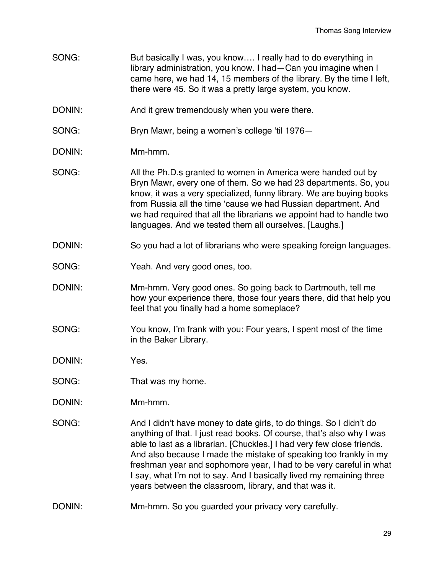- SONG: But basically I was, you know.... I really had to do everything in library administration, you know. I had—Can you imagine when I came here, we had 14, 15 members of the library. By the time I left, there were 45. So it was a pretty large system, you know.
- DONIN: And it grew tremendously when you were there.
- SONG: Bryn Mawr, being a women's college 'til 1976—
- DONIN: Mm-hmm.
- SONG: All the Ph.D.s granted to women in America were handed out by Bryn Mawr, every one of them. So we had 23 departments. So, you know, it was a very specialized, funny library. We are buying books from Russia all the time 'cause we had Russian department. And we had required that all the librarians we appoint had to handle two languages. And we tested them all ourselves. [Laughs.]
- DONIN: So you had a lot of librarians who were speaking foreign languages.
- SONG: Yeah. And very good ones, too.
- DONIN: Mm-hmm. Very good ones. So going back to Dartmouth, tell me how your experience there, those four years there, did that help you feel that you finally had a home someplace?
- SONG: You know, I'm frank with you: Four years, I spent most of the time in the Baker Library.
- DONIN: Yes.
- SONG: That was my home.
- DONIN: Mm-hmm.
- SONG: And I didn't have money to date girls, to do things. So I didn't do anything of that. I just read books. Of course, that's also why I was able to last as a librarian. [Chuckles.] I had very few close friends. And also because I made the mistake of speaking too frankly in my freshman year and sophomore year, I had to be very careful in what I say, what I'm not to say. And I basically lived my remaining three years between the classroom, library, and that was it.
- DONIN: Mm-hmm. So you guarded your privacy very carefully.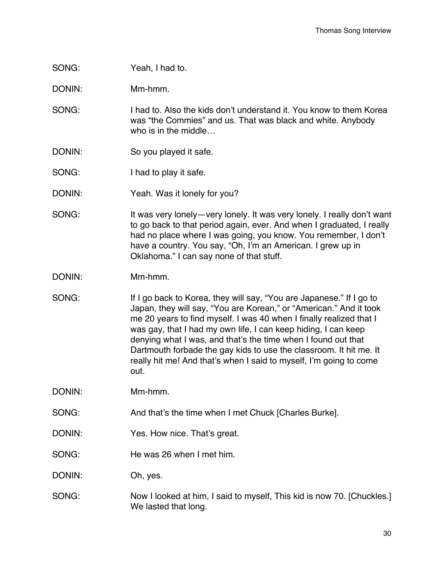### SONG: Yeah, I had to.

DONIN: Mm-hmm.

- SONG: I had to. Also the kids don't understand it. You know to them Korea was "the Commies" and us. That was black and white. Anybody who is in the middle…
- DONIN: So you played it safe.
- SONG: I had to play it safe.
- DONIN: Yeah. Was it lonely for you?
- SONG: It was very lonely—very lonely. It was very lonely. I really don't want to go back to that period again, ever. And when I graduated, I really had no place where I was going, you know. You remember, I don't have a country. You say, "Oh, I'm an American. I grew up in Oklahoma." I can say none of that stuff.
- DONIN: Mm-hmm.
- SONG: If I go back to Korea, they will say, "You are Japanese." If I go to Japan, they will say, "You are Korean," or "American." And it took me 20 years to find myself. I was 40 when I finally realized that I was gay, that I had my own life, I can keep hiding, I can keep denying what I was, and that's the time when I found out that Dartmouth forbade the gay kids to use the classroom. It hit me. It really hit me! And that's when I said to myself, I'm going to come out.
- DONIN: Mm-hmm.
- SONG: And that's the time when I met Chuck [Charles Burke].
- DONIN: Yes. How nice. That's great.
- SONG: He was 26 when I met him.

DONIN: Oh, yes.

SONG: Now I looked at him, I said to myself, This kid is now 70. [Chuckles.] We lasted that long.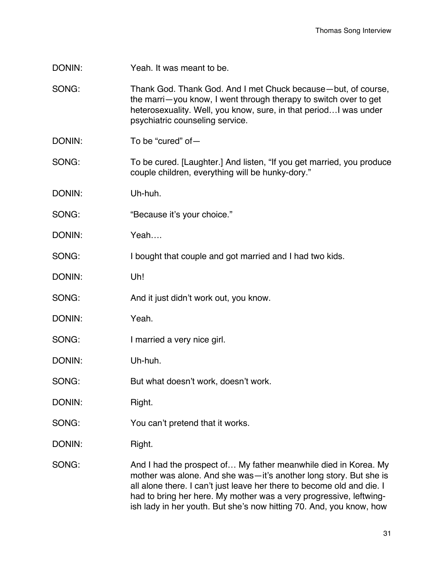- DONIN: Yeah. It was meant to be.
- SONG: Thank God. Thank God. And I met Chuck because—but, of course, the marri—you know, I went through therapy to switch over to get heterosexuality. Well, you know, sure, in that period…I was under psychiatric counseling service.
- DONIN: To be "cured" of-
- SONG: To be cured. [Laughter.] And listen, "If you get married, you produce couple children, everything will be hunky-dory."
- DONIN: Uh-huh.
- SONG: "Because it's your choice."
- DONIN: Yeah....
- SONG: I bought that couple and got married and I had two kids.
- DONIN: Uh!
- SONG: And it just didn't work out, you know.
- DONIN: Yeah.
- SONG: I married a very nice girl.
- DONIN: Uh-huh.
- SONG: But what doesn't work, doesn't work.
- DONIN: Right.
- SONG: You can't pretend that it works.
- DONIN: Right.
- SONG: And I had the prospect of... My father meanwhile died in Korea. My mother was alone. And she was—it's another long story. But she is all alone there. I can't just leave her there to become old and die. I had to bring her here. My mother was a very progressive, leftwingish lady in her youth. But she's now hitting 70. And, you know, how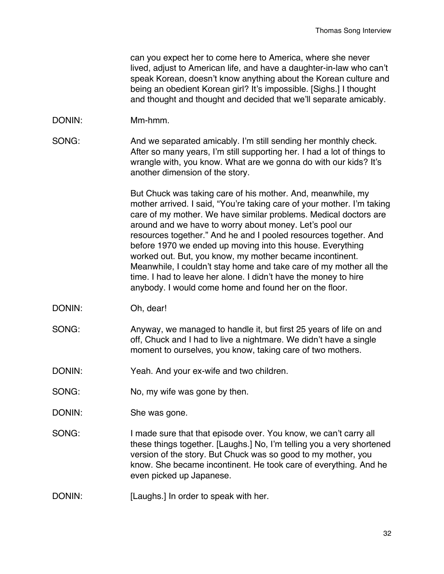can you expect her to come here to America, where she never lived, adjust to American life, and have a daughter-in-law who can't speak Korean, doesn't know anything about the Korean culture and being an obedient Korean girl? It's impossible. [Sighs.] I thought and thought and thought and decided that we'll separate amicably.

- DONIN: Mm-hmm.
- SONG: And we separated amicably. I'm still sending her monthly check. After so many years, I'm still supporting her. I had a lot of things to wrangle with, you know. What are we gonna do with our kids? It's another dimension of the story.

But Chuck was taking care of his mother. And, meanwhile, my mother arrived. I said, "You're taking care of your mother. I'm taking care of my mother. We have similar problems. Medical doctors are around and we have to worry about money. Let's pool our resources together." And he and I pooled resources together. And before 1970 we ended up moving into this house. Everything worked out. But, you know, my mother became incontinent. Meanwhile, I couldn't stay home and take care of my mother all the time. I had to leave her alone. I didn't have the money to hire anybody. I would come home and found her on the floor.

- DONIN: Oh, dear!
- SONG: Anyway, we managed to handle it, but first 25 years of life on and off, Chuck and I had to live a nightmare. We didn't have a single moment to ourselves, you know, taking care of two mothers.
- DONIN: Yeah. And your ex-wife and two children.
- SONG: No, my wife was gone by then.
- DONIN: She was gone.
- SONG: I made sure that that episode over. You know, we can't carry all these things together. [Laughs.] No, I'm telling you a very shortened version of the story. But Chuck was so good to my mother, you know. She became incontinent. He took care of everything. And he even picked up Japanese.
- DONIN: [Laughs.] In order to speak with her.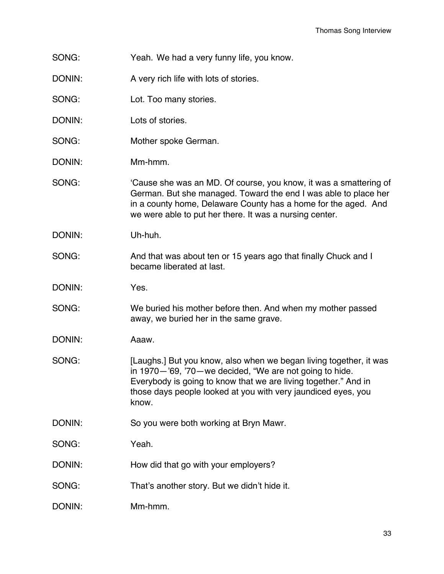- SONG: Yeah. We had a very funny life, you know.
- DONIN: A very rich life with lots of stories.
- SONG: Lot. Too many stories.
- DONIN: Lots of stories.
- SONG: Mother spoke German.
- DONIN: Mm-hmm.
- SONG: 'Cause she was an MD. Of course, you know, it was a smattering of German. But she managed. Toward the end I was able to place her in a county home, Delaware County has a home for the aged. And we were able to put her there. It was a nursing center.
- DONIN: Uh-huh.
- SONG: And that was about ten or 15 years ago that finally Chuck and I became liberated at last.
- DONIN: Yes.
- SONG: We buried his mother before then. And when my mother passed away, we buried her in the same grave.
- DONIN: Aaaw.
- SONG: [Laughs.] But you know, also when we began living together, it was in 1970—'69, '70—we decided, "We are not going to hide. Everybody is going to know that we are living together." And in those days people looked at you with very jaundiced eyes, you know.
- DONIN: So you were both working at Bryn Mawr.
- SONG: Yeah.
- DONIN: How did that go with your employers?
- SONG: That's another story. But we didn't hide it.
- DONIN: Mm-hmm.